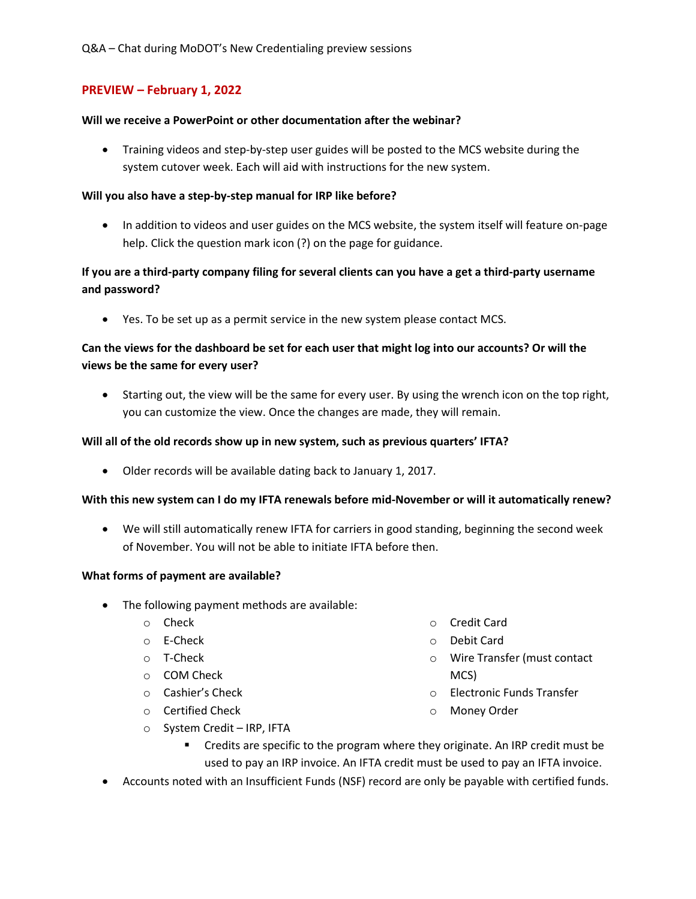# PREVIEW – February 1, 2022

#### Will we receive a PowerPoint or other documentation after the webinar?

 Training videos and step-by-step user guides will be posted to the MCS website during the system cutover week. Each will aid with instructions for the new system.

#### Will you also have a step-by-step manual for IRP like before?

• In addition to videos and user guides on the MCS website, the system itself will feature on-page help. Click the question mark icon (?) on the page for guidance.

# If you are a third-party company filing for several clients can you have a get a third-party username and password?

Yes. To be set up as a permit service in the new system please contact MCS.

# Can the views for the dashboard be set for each user that might log into our accounts? Or will the views be the same for every user?

• Starting out, the view will be the same for every user. By using the wrench icon on the top right, you can customize the view. Once the changes are made, they will remain.

#### Will all of the old records show up in new system, such as previous quarters' IFTA?

Older records will be available dating back to January 1, 2017.

## With this new system can I do my IFTA renewals before mid-November or will it automatically renew?

 We will still automatically renew IFTA for carriers in good standing, beginning the second week of November. You will not be able to initiate IFTA before then.

#### What forms of payment are available?

- The following payment methods are available:
	- o Check
	- o E-Check
	- o T-Check
	- o COM Check
	- o Cashier's Check
	- o Certified Check
	- o System Credit IRP, IFTA
- o Credit Card
- o Debit Card
- o Wire Transfer (must contact MCS)
- o Electronic Funds Transfer
- o Money Order
- Credits are specific to the program where they originate. An IRP credit must be used to pay an IRP invoice. An IFTA credit must be used to pay an IFTA invoice.
- Accounts noted with an Insufficient Funds (NSF) record are only be payable with certified funds.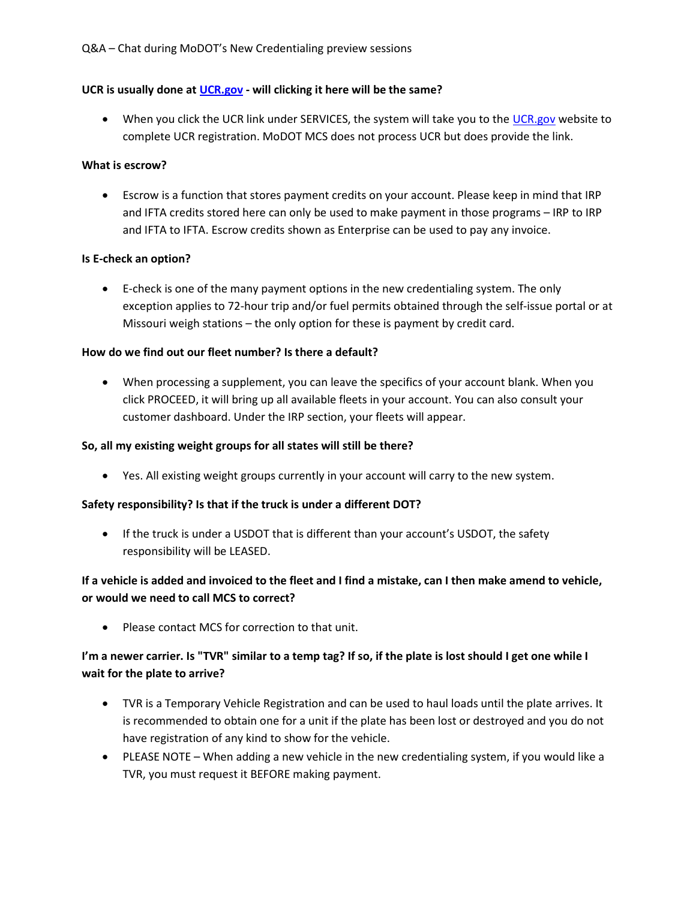## UCR is usually done at UCR.gov - will clicking it here will be the same?

• When you click the UCR link under SERVICES, the system will take you to the UCR gov website to complete UCR registration. MoDOT MCS does not process UCR but does provide the link.

## What is escrow?

 Escrow is a function that stores payment credits on your account. Please keep in mind that IRP and IFTA credits stored here can only be used to make payment in those programs – IRP to IRP and IFTA to IFTA. Escrow credits shown as Enterprise can be used to pay any invoice.

# Is E-check an option?

 E-check is one of the many payment options in the new credentialing system. The only exception applies to 72-hour trip and/or fuel permits obtained through the self-issue portal or at Missouri weigh stations – the only option for these is payment by credit card.

# How do we find out our fleet number? Is there a default?

 When processing a supplement, you can leave the specifics of your account blank. When you click PROCEED, it will bring up all available fleets in your account. You can also consult your customer dashboard. Under the IRP section, your fleets will appear.

## So, all my existing weight groups for all states will still be there?

Yes. All existing weight groups currently in your account will carry to the new system.

## Safety responsibility? Is that if the truck is under a different DOT?

• If the truck is under a USDOT that is different than your account's USDOT, the safety responsibility will be LEASED.

# If a vehicle is added and invoiced to the fleet and I find a mistake, can I then make amend to vehicle, or would we need to call MCS to correct?

• Please contact MCS for correction to that unit.

# I'm a newer carrier. Is "TVR" similar to a temp tag? If so, if the plate is lost should I get one while I wait for the plate to arrive?

- TVR is a Temporary Vehicle Registration and can be used to haul loads until the plate arrives. It is recommended to obtain one for a unit if the plate has been lost or destroyed and you do not have registration of any kind to show for the vehicle.
- PLEASE NOTE When adding a new vehicle in the new credentialing system, if you would like a TVR, you must request it BEFORE making payment.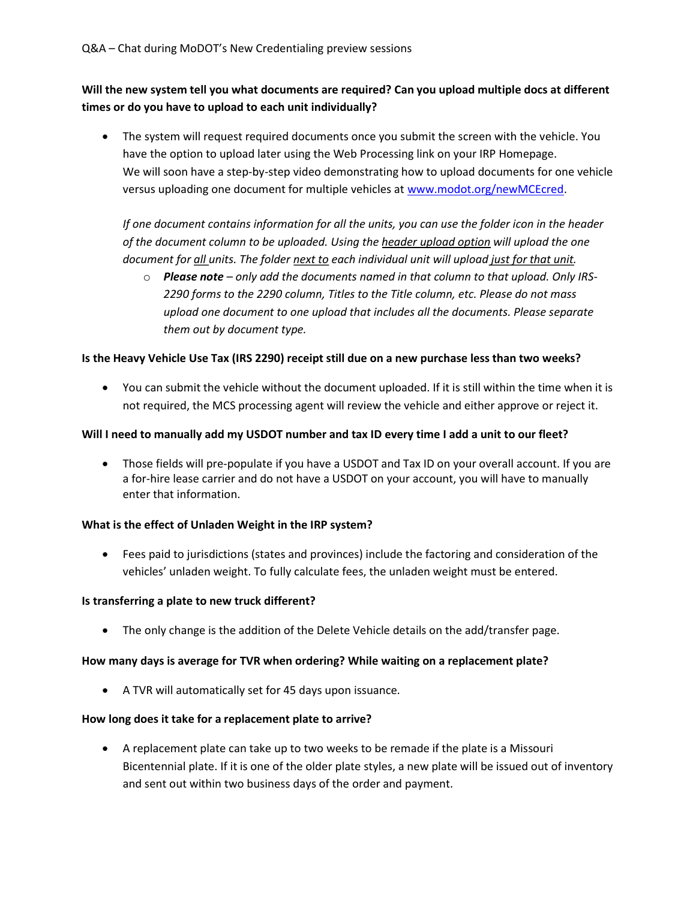# Will the new system tell you what documents are required? Can you upload multiple docs at different times or do you have to upload to each unit individually?

 The system will request required documents once you submit the screen with the vehicle. You have the option to upload later using the Web Processing link on your IRP Homepage. We will soon have a step-by-step video demonstrating how to upload documents for one vehicle versus uploading one document for multiple vehicles at www.modot.org/newMCEcred.

If one document contains information for all the units, you can use the folder icon in the header of the document column to be uploaded. Using the header upload option will upload the one document for all units. The folder next to each individual unit will upload just for that unit.

 $\circ$  Please note – only add the documents named in that column to that upload. Only IRS-2290 forms to the 2290 column, Titles to the Title column, etc. Please do not mass upload one document to one upload that includes all the documents. Please separate them out by document type.

## Is the Heavy Vehicle Use Tax (IRS 2290) receipt still due on a new purchase less than two weeks?

 You can submit the vehicle without the document uploaded. If it is still within the time when it is not required, the MCS processing agent will review the vehicle and either approve or reject it.

## Will I need to manually add my USDOT number and tax ID every time I add a unit to our fleet?

 Those fields will pre-populate if you have a USDOT and Tax ID on your overall account. If you are a for-hire lease carrier and do not have a USDOT on your account, you will have to manually enter that information.

## What is the effect of Unladen Weight in the IRP system?

 Fees paid to jurisdictions (states and provinces) include the factoring and consideration of the vehicles' unladen weight. To fully calculate fees, the unladen weight must be entered.

#### Is transferring a plate to new truck different?

The only change is the addition of the Delete Vehicle details on the add/transfer page.

## How many days is average for TVR when ordering? While waiting on a replacement plate?

A TVR will automatically set for 45 days upon issuance.

## How long does it take for a replacement plate to arrive?

 A replacement plate can take up to two weeks to be remade if the plate is a Missouri Bicentennial plate. If it is one of the older plate styles, a new plate will be issued out of inventory and sent out within two business days of the order and payment.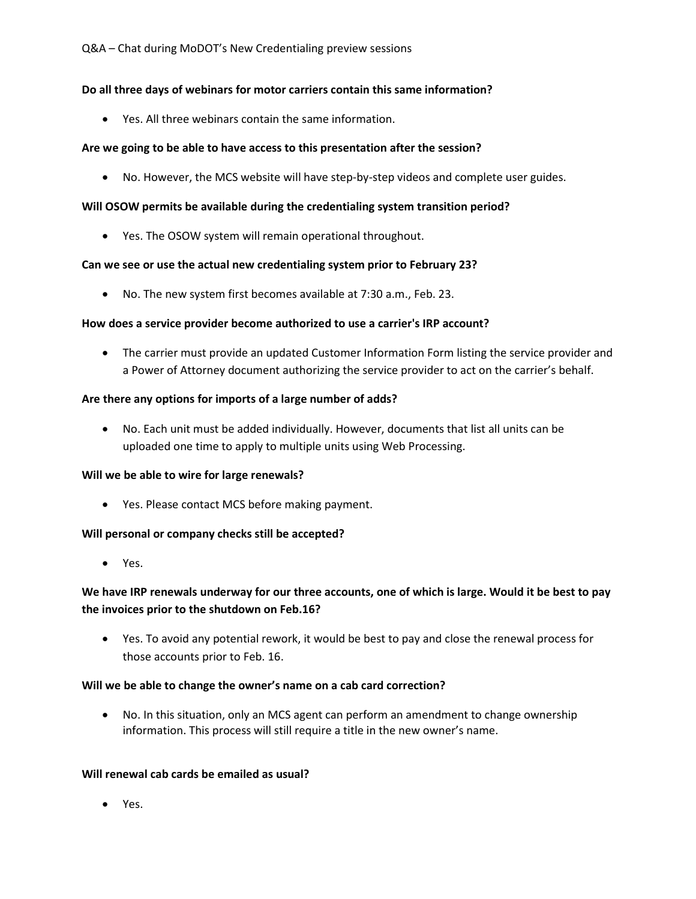## Do all three days of webinars for motor carriers contain this same information?

Yes. All three webinars contain the same information.

#### Are we going to be able to have access to this presentation after the session?

No. However, the MCS website will have step-by-step videos and complete user guides.

#### Will OSOW permits be available during the credentialing system transition period?

Yes. The OSOW system will remain operational throughout.

#### Can we see or use the actual new credentialing system prior to February 23?

No. The new system first becomes available at 7:30 a.m., Feb. 23.

#### How does a service provider become authorized to use a carrier's IRP account?

 The carrier must provide an updated Customer Information Form listing the service provider and a Power of Attorney document authorizing the service provider to act on the carrier's behalf.

#### Are there any options for imports of a large number of adds?

 No. Each unit must be added individually. However, documents that list all units can be uploaded one time to apply to multiple units using Web Processing.

#### Will we be able to wire for large renewals?

Yes. Please contact MCS before making payment.

#### Will personal or company checks still be accepted?

Yes.

# We have IRP renewals underway for our three accounts, one of which is large. Would it be best to pay the invoices prior to the shutdown on Feb.16?

 Yes. To avoid any potential rework, it would be best to pay and close the renewal process for those accounts prior to Feb. 16.

#### Will we be able to change the owner's name on a cab card correction?

 No. In this situation, only an MCS agent can perform an amendment to change ownership information. This process will still require a title in the new owner's name.

#### Will renewal cab cards be emailed as usual?

Yes.